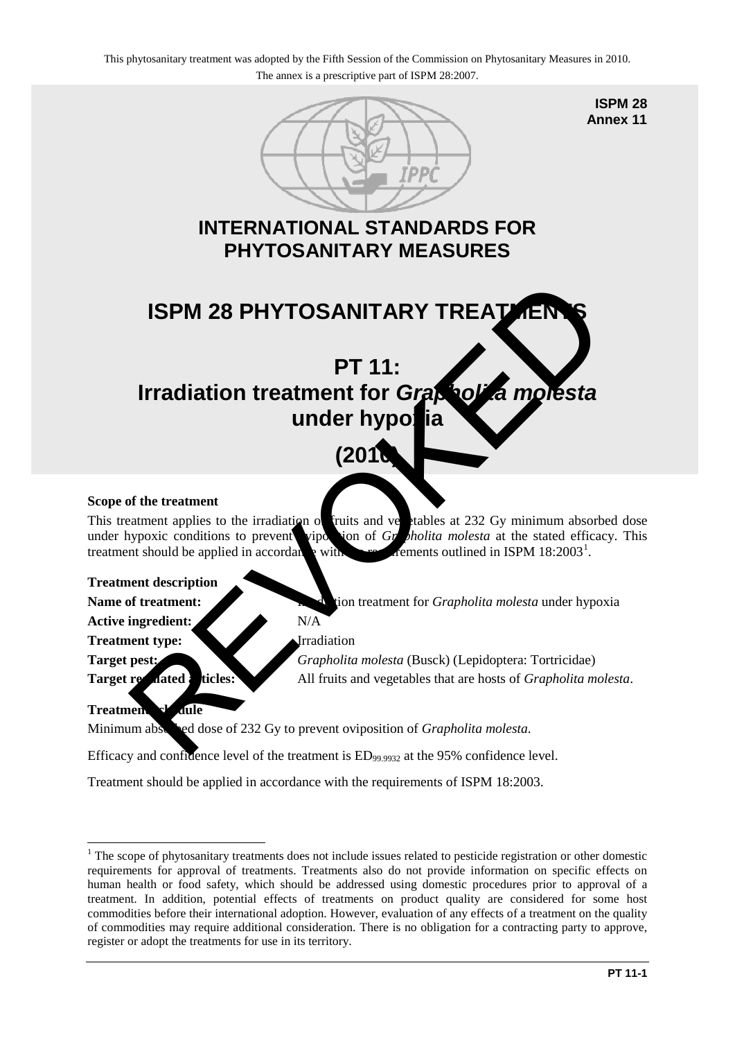

**ISPM 28 Annex 11**

# **INTERNATIONAL STANDARDS FOR PHYTOSANITARY MEASURES**



#### **Scope of the treatment**

This treatment applies to the irradiation of fruits and vectables at 232 Gy minimum absorbed dose under hypoxic conditions to prevent viposition of  $Gr$  *holita molesta* at the stated efficacy. This treatment should be applied in  $accordan$  with rements outlined in ISPM  $18:2003<sup>1</sup>$ .

**Treatment description**

Active ingredient: N/A

**Treatment type:** Irradiation

**Name of treatment:** Integration treatment for *Grapholita molesta* under hypoxia

**Target pest:** *Grapholita molesta* (Busck) (Lepidoptera: Tortricidae) **Target regulated:** ticles: All fruits and vegetables that are hosts of *Grapholita molesta*.

### Treatment sk dule

<u>.</u>

Minimum absorbed dose of 232 Gy to prevent oviposition of *Grapholita molesta*.

Efficacy and confidence level of the treatment is  $ED_{99.9932}$  at the 95% confidence level.

Treatment should be applied in accordance with the requirements of ISPM 18:2003.

<span id="page-0-0"></span><sup>&</sup>lt;sup>1</sup> The scope of phytosanitary treatments does not include issues related to pesticide registration or other domestic requirements for approval of treatments. Treatments also do not provide information on specific effects on human health or food safety, which should be addressed using domestic procedures prior to approval of a treatment. In addition, potential effects of treatments on product quality are considered for some host commodities before their international adoption. However, evaluation of any effects of a treatment on the quality of commodities may require additional consideration. There is no obligation for a contracting party to approve, register or adopt the treatments for use in its territory.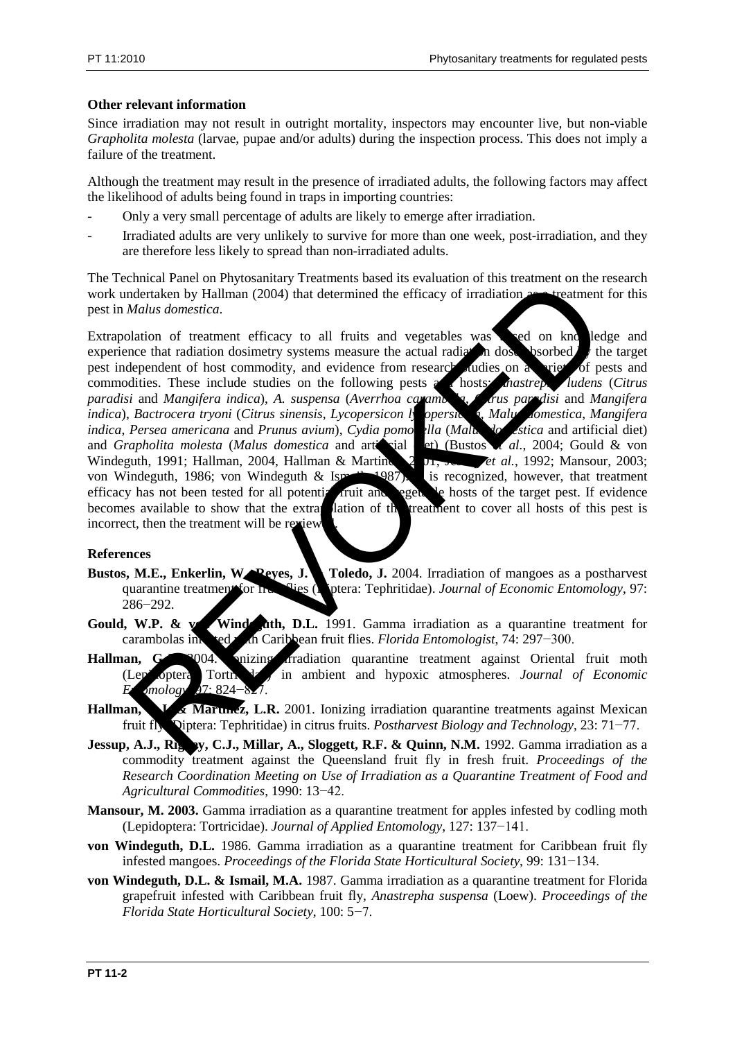## **Other relevant information**

Since irradiation may not result in outright mortality, inspectors may encounter live, but non-viable *Grapholita molesta* (larvae, pupae and/or adults) during the inspection process. This does not imply a failure of the treatment.

Although the treatment may result in the presence of irradiated adults, the following factors may affect the likelihood of adults being found in traps in importing countries:

- Only a very small percentage of adults are likely to emerge after irradiation.
- Irradiated adults are very unlikely to survive for more than one week, post-irradiation, and they are therefore less likely to spread than non-irradiated adults.

The Technical Panel on Phytosanitary Treatments based its evaluation of this treatment on the research work undertaken by Hallman (2004) that determined the efficacy of irradiation as a treatment for this pest in *Malus domestica*.

Extrapolation of treatment efficacy to all fruits and vegetables was seed on knowledge and experience that radiation dosimetry systems measure the actual radiation dose bsorbed the target nest independent of host commodity, and evidence from research addies on a view of pests and pest independent of host commodity, and evidence from research studies on  $\epsilon$ commodities. These include studies on the following pests and hosts: *Anastrepha ludens* (*Citrus paradisi* and *Mangifera indica*), *A. suspensa* (*Averrhoa carambola*, *Citrus paradisi* and *Mangifera indica*), *Bactrocera tryoni* (*Citrus sinensis*, *Lycopersicon lactrica q. Malus domestica, Mangifera indica*, *Persea americana* and *Prunus avium*), *Cydia pomonella* (*Malus domestica* and artificial diet) and *Grapholita molesta* (*Malus domestica* and artificial et) (Bustos *d.*, 2004; Gould & von and *Grapholita molesta* (*Malus domestica* and articular et al. (Bustos **et al.**, 2004; Gould & von *et al.*, 2004; Gould & von *et al.*, 2004; Gould & von *et al.*, 2004; Gould & von *et al.*, 2004; Gould & von *et al.*, Windeguth, 1991; Hallman, 2004, Hallman & Martinez, 2015, *et al.*, 1992; Mansour, 2003; von Windeguth, 1986; von Windeguth & Ismail, 1987), is recognized, however, that treatment efficacy has not been tested for all potential fruit and eget. Le hosts of the target pest. If evidence efficacy has not been tested for all potential fruit and becomes available to show that the extrapolation of the treatment to cover all hosts of this pest is incorrect, then the treatment will be review Entra random and Principality incentions is<br>sected the change of irradiation and the definition of the statement of<br>the detach by Hallman (2004) that determined the efficacy of irradiation are intentioned<br>alation of treat

### **References**

- Bustos, M.E., Enkerlin, W. Reyes, J. Toledo, J. 2004. Irradiation of mangoes as a postharvest quarantine treatment for function of the flies (Diptera: Tephritidae). *Journal of Economic Entomology*, 97: 286−292.
- **Gould, W.P. & voltage Windeguth, D.L.** 1991. Gamma irradiation as a quarantine treatment for carambolas infested with Caribbean fruit flies. *Florida Entomologist*, 74: 297−300.
- Hallman, G. 2004. **Inizing irradiation** quarantine treatment against Oriental fruit moth (Lepidoptera: Tortricidae) in ambient and hypoxic atmospheres. *Journal of Economic Emology*, 97: 824–8
- Hallman, **G.A., Martinez, L.R.** 2001. Ionizing irradiation quarantine treatments against Mexican fruit fly (Diptera: Tephritidae) in citrus fruits. *Postharvest Biology and Technology*, 23: 71−77.
- **Jessup, A.J., Rigney, C.J., Millar, A., Sloggett, R.F. & Quinn, N.M.** 1992. Gamma irradiation as a commodity treatment against the Queensland fruit fly in fresh fruit. *Proceedings of the Research Coordination Meeting on Use of Irradiation as a Quarantine Treatment of Food and Agricultural Commodities*, 1990: 13−42.
- **Mansour, M. 2003.** Gamma irradiation as a quarantine treatment for apples infested by codling moth (Lepidoptera: Tortricidae). *Journal of Applied Entomology*, 127: 137−141.
- **von Windeguth, D.L.** 1986. Gamma irradiation as a quarantine treatment for Caribbean fruit fly infested mangoes. *Proceedings of the Florida State Horticultural Society*, 99: 131−134.
- **von Windeguth, D.L. & Ismail, M.A.** 1987. Gamma irradiation as a quarantine treatment for Florida grapefruit infested with Caribbean fruit fly, *Anastrepha suspensa* (Loew). *Proceedings of the Florida State Horticultural Society*, 100: 5−7.